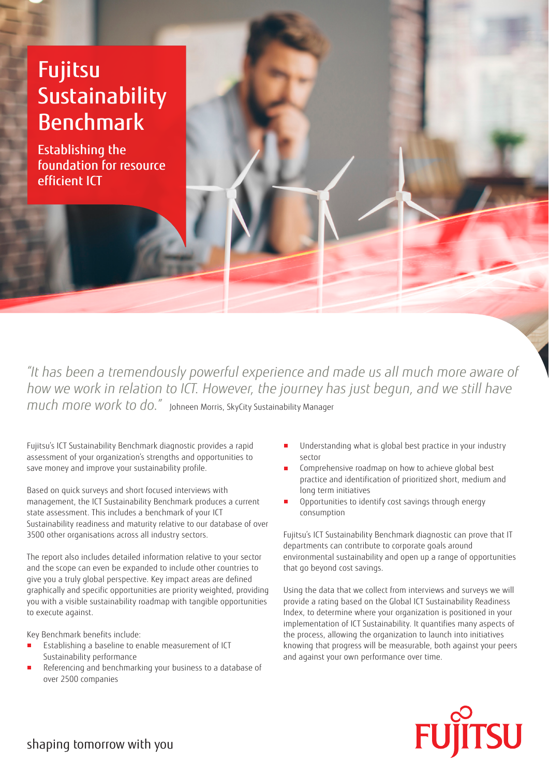## Fujitsu Sustainability Benchmark

Establishing the foundation for resource efficient ICT

*"It has been a tremendously powerful experience and made us all much more aware of how we work in relation to ICT. However, the journey has just begun, and we still have much more work to do."* Johneen Morris, SkyCity Sustainability Manager

Fujitsu's ICT Sustainability Benchmark diagnostic provides a rapid assessment of your organization's strengths and opportunities to save money and improve your sustainability profile.

Based on quick surveys and short focused interviews with management, the ICT Sustainability Benchmark produces a current state assessment. This includes a benchmark of your ICT Sustainability readiness and maturity relative to our database of over 3500 other organisations across all industry sectors.

The report also includes detailed information relative to your sector and the scope can even be expanded to include other countries to give you a truly global perspective. Key impact areas are defined graphically and specific opportunities are priority weighted, providing you with a visible sustainability roadmap with tangible opportunities to execute against.

Key Benchmark benefits include:

- Establishing a baseline to enable measurement of ICT Sustainability performance
- Referencing and benchmarking your business to a database of over 2500 companies
- Understanding what is global best practice in your industry sector
- Comprehensive roadmap on how to achieve global best practice and identification of prioritized short, medium and long term initiatives
- Opportunities to identify cost savings through energy consumption

Fujitsu's ICT Sustainability Benchmark diagnostic can prove that IT departments can contribute to corporate goals around environmental sustainability and open up a range of opportunities that go beyond cost savings.

Using the data that we collect from interviews and surveys we will provide a rating based on the Global ICT Sustainability Readiness Index, to determine where your organization is positioned in your implementation of ICT Sustainability. It quantifies many aspects of the process, allowing the organization to launch into initiatives knowing that progress will be measurable, both against your peers and against your own performance over time.



shaping tomorrow with you